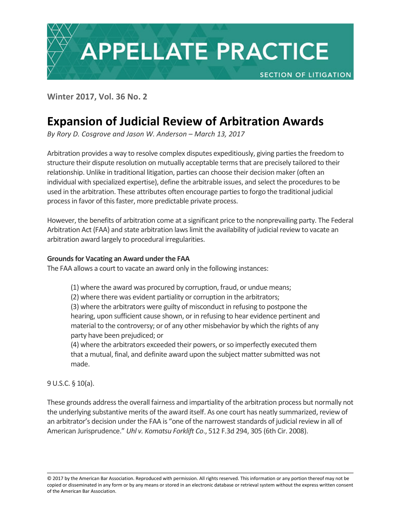

# **Expansion of Judicial Review of Arbitration Awards**

*By Rory D. Cosgrove and Jason W. Anderson – March 13, 2017*

Arbitration provides a way to resolve complex disputes expeditiously, giving parties the freedom to structure their dispute resolution on mutually acceptable terms that are precisely tailored to their relationship. Unlike in traditional litigation, parties can choose their decision maker (often an individual with specialized expertise), define the arbitrable issues, and select the procedures to be used in the arbitration. These attributes often encourage parties to forgo the traditional judicial process in favor of this faster, more predictable private process.

However, the benefits of arbitration come at a significant price to the nonprevailing party. The Federal Arbitration Act (FAA) and state arbitration laws limit the availability of judicial review to vacate an arbitration award largely to procedural irregularities.

## **Grounds for Vacating an Award under the FAA**

The FAA allows a court to vacate an award only in the following instances:

(1) where the award was procured by corruption, fraud, or undue means;

(2) where there was evident partiality or corruption in the arbitrators;

(3) where the arbitrators were guilty of misconduct in refusing to postpone the hearing, upon sufficient cause shown, or in refusing to hear evidence pertinent and material to the controversy; or of any other misbehavior by which the rights of any party have been prejudiced; or

(4) where the arbitrators exceeded their powers, or so imperfectly executed them that a mutual, final, and definite award upon the subject matter submitted was not made.

9 U.S.C. § 10(a).

These grounds address the overall fairness and impartiality of the arbitration process but normally not the underlying substantive merits of the award itself. As one court has neatly summarized, review of an arbitrator's decision under the FAA is "one of the narrowest standards of judicial review in all of American Jurisprudence." *Uhl v. Komatsu Forklift Co*., 512 F.3d 294, 305 (6th Cir. 2008).

<sup>© 2017</sup> by the American Bar Association. Reproduced with permission. All rights reserved. This information or any portion thereof may not be copied or disseminated in any form or by any means or stored in an electronic database or retrieval system without the express written consent of the American Bar Association.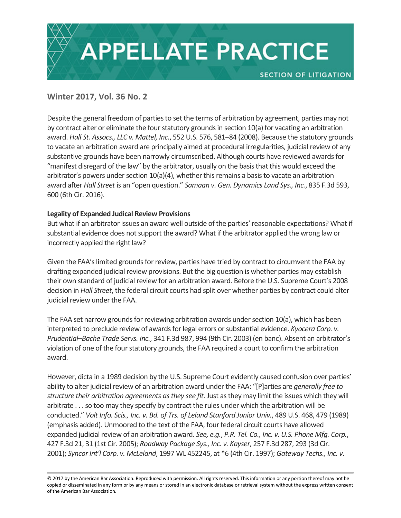

Despite the general freedom of parties to set the terms of arbitration by agreement, parties may not by contract alter or eliminate the four statutory grounds in section 10(a) for vacating an arbitration award. *Hall St. Assocs., LLC v. Mattel, Inc.*, 552 U.S. 576, 581–84 (2008). Because the statutory grounds to vacate an arbitration award are principally aimed at procedural irregularities, judicial review of any substantive grounds have been narrowly circumscribed. Although courts have reviewed awards for "manifest disregard of the law" by the arbitrator, usually on the basis that this would exceed the arbitrator's powers under section 10(a)(4), whether this remains a basis to vacate an arbitration award after *Hall Street* is an "open question." *Samaan v. Gen. Dynamics Land Sys., Inc.*, 835 F.3d 593, 600 (6th Cir. 2016).

## **Legality of Expanded Judical Review Provisions**

But what if an arbitrator issues an award well outside of the parties' reasonable expectations? What if substantial evidence does not support the award? What if the arbitrator applied the wrong law or incorrectly applied the right law?

Given the FAA's limited grounds for review, parties have tried by contract to circumvent the FAA by drafting expanded judicial review provisions. But the big question is whether parties may establish their own standard of judicial review for an arbitration award. Before the U.S. Supreme Court's 2008 decision in *Hall Street*, the federal circuit courts had split over whether parties by contract could alter judicial review under the FAA.

The FAA set narrow grounds for reviewing arbitration awards under section 10(a), which has been interpreted to preclude review of awards for legal errors or substantial evidence. *Kyocera Corp. v. Prudential–Bache Trade Servs. Inc.*, 341 F.3d 987, 994 (9th Cir. 2003) (en banc). Absent an arbitrator's violation of one of the four statutory grounds, the FAA required a court to confirm the arbitration award.

However, dicta in a 1989 decision by the U.S. Supreme Court evidently caused confusion over parties' ability to alter judicial review of an arbitration award under the FAA: "[P]arties are *generally free to structure their arbitration agreements as they see fit*. Just as they may limit the issues which they will arbitrate . . . so too may they specify by contract the rules under which the arbitration will be conducted." *Volt Info. Scis., Inc. v. Bd. of Trs. of Leland Stanford Junior Univ.*, 489 U.S. 468, 479 (1989) (emphasis added). Unmoored to the text of the FAA, four federal circuit courts have allowed expanded judicial review of an arbitration award. *See, e.g.*, *P.R. Tel. Co., Inc. v. U.S. Phone Mfg. Corp.*, 427 F.3d 21, 31 (1st Cir. 2005); *Roadway Package Sys., Inc. v. Kayser*, 257 F.3d 287, 293 (3d Cir. 2001); *Syncor Int'l Corp. v. McLeland*, 1997 WL 452245, at \*6 (4th Cir. 1997); *Gateway Techs., Inc. v.* 

<sup>© 2017</sup> by the American Bar Association. Reproduced with permission. All rights reserved. This information or any portion thereof may not be copied or disseminated in any form or by any means or stored in an electronic database or retrieval system without the express written consent of the American Bar Association.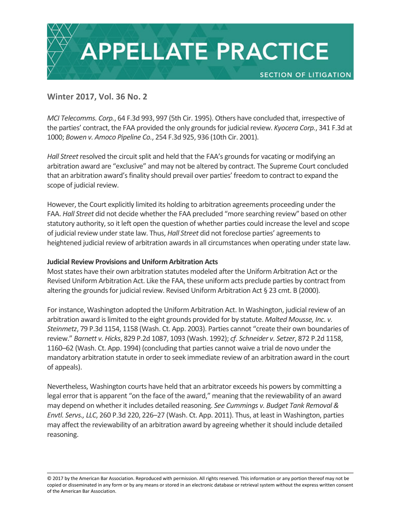

*MCI Telecomms. Corp.*, 64 F.3d 993, 997 (5th Cir. 1995). Others have concluded that, irrespective of the parties' contract, the FAA provided the only grounds for judicial review. *Kyocera Corp.*, 341 F.3d at 1000; *Bowen v. Amoco Pipeline Co.*, 254 F.3d 925, 936 (10th Cir. 2001).

*Hall Street* resolved the circuit split and held that the FAA's grounds for vacating or modifying an arbitration award are "exclusive" and may not be altered by contract. The Supreme Court concluded that an arbitration award's finality should prevail over parties' freedom to contract to expand the scope of judicial review.

However, the Court explicitly limited its holding to arbitration agreements proceeding under the FAA. *Hall Street* did not decide whether the FAA precluded "more searching review" based on other statutory authority, so it left open the question of whether parties could increase the level and scope of judicial review under state law. Thus, *Hall Street* did not foreclose parties' agreements to heightened judicial review of arbitration awards in all circumstances when operating under state law.

### **Judicial Review Provisions and Uniform Arbitration Acts**

Most states have their own arbitration statutes modeled after the Uniform Arbitration Act or the Revised Uniform Arbitration Act. Like the FAA, these uniform acts preclude parties by contract from altering the grounds for judicial review. Revised Uniform Arbitration Act § 23 cmt. B (2000).

For instance, Washington adopted the Uniform Arbitration Act. In Washington, judicial review of an arbitration award is limited to the eight grounds provided for by statute. *Malted Mousse, Inc. v. Steinmetz*, 79 P.3d 1154, 1158 (Wash. Ct. App. 2003). Parties cannot "create their own boundaries of review." *Barnett v. Hicks*, 829 P.2d 1087, 1093 (Wash. 1992); *cf. Schneider v. Setzer*, 872 P.2d 1158, 1160–62 (Wash. Ct. App. 1994) (concluding that parties cannot waive a trial de novo under the mandatory arbitration statute in order to seek immediate review of an arbitration award in the court of appeals).

Nevertheless, Washington courts have held that an arbitrator exceeds his powers by committing a legal error that is apparent "on the face of the award," meaning that the reviewability of an award may depend on whether it includes detailed reasoning. *See Cummings v. Budget Tank Removal & Envtl. Servs., LLC*, 260 P.3d 220, 226–27 (Wash. Ct. App. 2011). Thus, at least in Washington, parties may affect the reviewability of an arbitration award by agreeing whether it should include detailed reasoning.

<sup>© 2017</sup> by the American Bar Association. Reproduced with permission. All rights reserved. This information or any portion thereof may not be copied or disseminated in any form or by any means or stored in an electronic database or retrieval system without the express written consent of the American Bar Association.